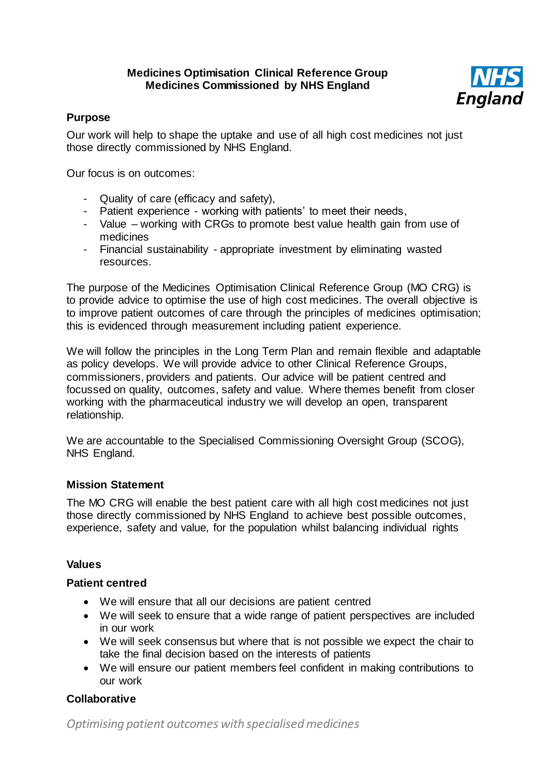## **Medicines Optimisation Clinical Reference Group Medicines Commissioned by NHS England**



# **Purpose**

Our work will help to shape the uptake and use of all high cost medicines not just those directly commissioned by NHS England.

Our focus is on outcomes:

- Quality of care (efficacy and safety),
- Patient experience working with patients' to meet their needs,
- Value working with CRGs to promote best value health gain from use of medicines
- Financial sustainability appropriate investment by eliminating wasted resources.

The purpose of the Medicines Optimisation Clinical Reference Group (MO CRG) is to provide advice to optimise the use of high cost medicines. The overall objective is to improve patient outcomes of care through the principles of medicines optimisation; this is evidenced through measurement including patient experience.

We will follow the principles in the Long Term Plan and remain flexible and adaptable as policy develops. We will provide advice to other Clinical Reference Groups, commissioners, providers and patients. Our advice will be patient centred and focussed on quality, outcomes, safety and value. Where themes benefit from closer working with the pharmaceutical industry we will develop an open, transparent relationship.

We are accountable to the Specialised Commissioning Oversight Group (SCOG), NHS England.

# **Mission Statement**

The MO CRG will enable the best patient care with all high cost medicines not just those directly commissioned by NHS England to achieve best possible outcomes, experience, safety and value, for the population whilst balancing individual rights

#### **Values**

#### **Patient centred**

- We will ensure that all our decisions are patient centred
- We will seek to ensure that a wide range of patient perspectives are included in our work
- We will seek consensus but where that is not possible we expect the chair to take the final decision based on the interests of patients
- We will ensure our patient members feel confident in making contributions to our work

# **Collaborative**

*Optimising patient outcomes with specialised medicines*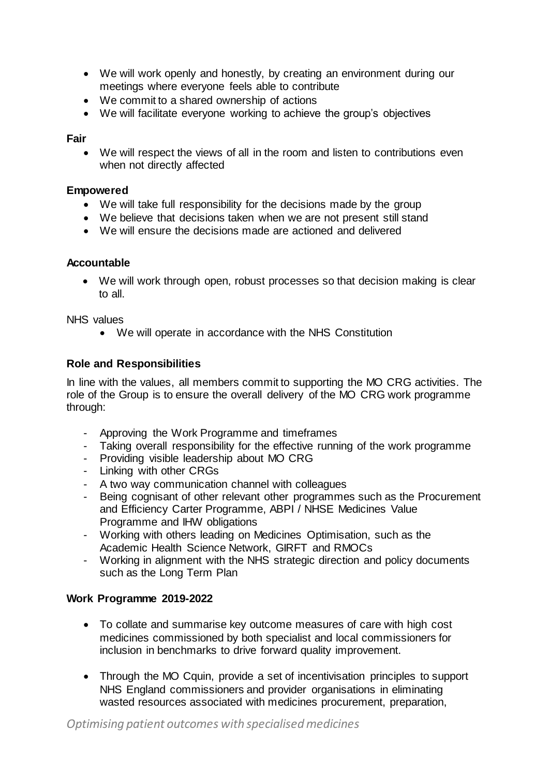- We will work openly and honestly, by creating an environment during our meetings where everyone feels able to contribute
- We commit to a shared ownership of actions
- We will facilitate everyone working to achieve the group's objectives

## **Fair**

• We will respect the views of all in the room and listen to contributions even when not directly affected

#### **Empowered**

- We will take full responsibility for the decisions made by the group
- We believe that decisions taken when we are not present still stand
- We will ensure the decisions made are actioned and delivered

## **Accountable**

• We will work through open, robust processes so that decision making is clear to all.

NHS values

• We will operate in accordance with the NHS Constitution

# **Role and Responsibilities**

In line with the values, all members commit to supporting the MO CRG activities. The role of the Group is to ensure the overall delivery of the MO CRG work programme through:

- Approving the Work Programme and timeframes
- Taking overall responsibility for the effective running of the work programme
- Providing visible leadership about MO CRG
- Linking with other CRGs
- A two way communication channel with colleagues
- Being cognisant of other relevant other programmes such as the Procurement and Efficiency Carter Programme, ABPI / NHSE Medicines Value Programme and IHW obligations
- Working with others leading on Medicines Optimisation, such as the Academic Health Science Network, GIRFT and RMOCs
- Working in alignment with the NHS strategic direction and policy documents such as the Long Term Plan

# **Work Programme 2019-2022**

- To collate and summarise key outcome measures of care with high cost medicines commissioned by both specialist and local commissioners for inclusion in benchmarks to drive forward quality improvement.
- Through the MO Cquin, provide a set of incentivisation principles to support NHS England commissioners and provider organisations in eliminating wasted resources associated with medicines procurement, preparation,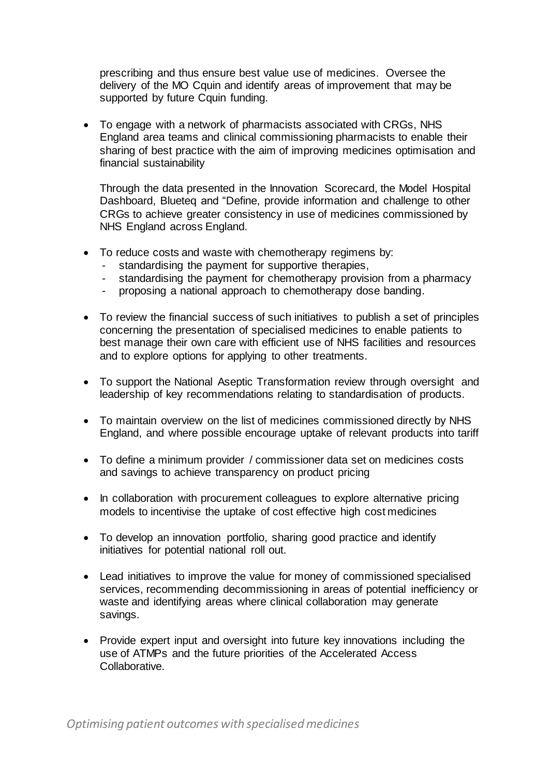prescribing and thus ensure best value use of medicines. Oversee the delivery of the MO Cquin and identify areas of improvement that may be supported by future Cauin funding.

• To engage with a network of pharmacists associated with CRGs, NHS England area teams and clinical commissioning pharmacists to enable their sharing of best practice with the aim of improving medicines optimisation and financial sustainability

Through the data presented in the Innovation Scorecard, the Model Hospital Dashboard, Blueteq and "Define, provide information and challenge to other CRGs to achieve greater consistency in use of medicines commissioned by NHS England across England.

- To reduce costs and waste with chemotherapy regimens by:
	- standardising the payment for supportive therapies,
	- standardising the payment for chemotherapy provision from a pharmacy
	- proposing a national approach to chemotherapy dose banding.
- To review the financial success of such initiatives to publish a set of principles concerning the presentation of specialised medicines to enable patients to best manage their own care with efficient use of NHS facilities and resources and to explore options for applying to other treatments.
- To support the National Aseptic Transformation review through oversight and leadership of key recommendations relating to standardisation of products.
- To maintain overview on the list of medicines commissioned directly by NHS England, and where possible encourage uptake of relevant products into tariff
- To define a minimum provider / commissioner data set on medicines costs and savings to achieve transparency on product pricing
- In collaboration with procurement colleagues to explore alternative pricing models to incentivise the uptake of cost effective high cost medicines
- To develop an innovation portfolio, sharing good practice and identify initiatives for potential national roll out.
- Lead initiatives to improve the value for money of commissioned specialised services, recommending decommissioning in areas of potential inefficiency or waste and identifying areas where clinical collaboration may generate savings.
- Provide expert input and oversight into future key innovations including the use of ATMPs and the future priorities of the Accelerated Access Collaborative.